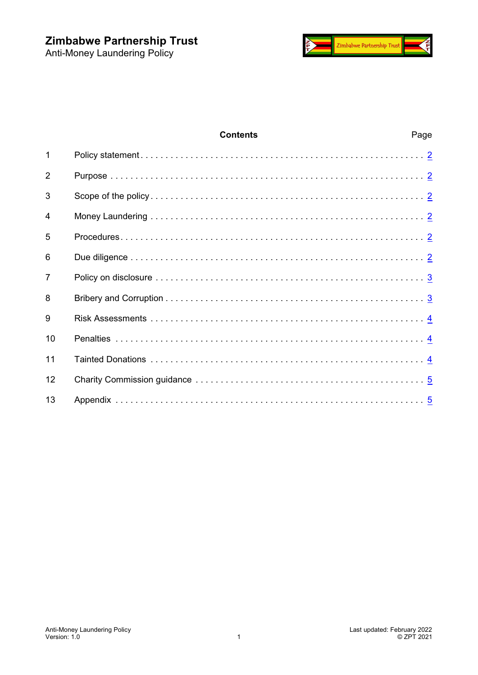

# **Contents** Page Policy statement . . . . . . . . . . . . . . . . . . . . . . . . . . . . . . . . . . . . . . . . . . . . . . . . . . . . . . . . . [2](#page-1-0) Purpose . . . . . . . . . . . . . . . . . . . . . . . . . . . . . . . . . . . . . . . . . . . . . . . . . . . . . . . . . . . . . . . [2](#page-1-1) Scope of the policy . . . . . . . . . . . . . . . . . . . . . . . . . . . . . . . . . . . . . . . . . . . . . . . . . . . . . . . [2](#page-1-2) Money Laundering . . . . . . . . . . . . . . . . . . . . . . . . . . . . . . . . . . . . . . . . . . . . . . . . . . . . . . . [2](#page-1-3) Procedures. . . . . . . . . . . . . . . . . . . . . . . . . . . . . . . . . . . . . . . . . . . . . . . . . . . . . . . . . . . . . [2](#page-1-4) Due diligence . . . . . . . . . . . . . . . . . . . . . . . . . . . . . . . . . . . . . . . . . . . . . . . . . . . . . . . . . . . [2](#page-1-5) Policy on disclosure . . . . . . . . . . . . . . . . . . . . . . . . . . . . . . . . . . . . . . . . . . . . . . . . . . . . . . [3](#page-2-0) Bribery and Corruption . . . . . . . . . . . . . . . . . . . . . . . . . . . . . . . . . . . . . . . . . . . . . . . . . . . . [3](#page-2-1) Risk Assessments . . . . . . . . . . . . . . . . . . . . . . . . . . . . . . . . . . . . . . . . . . . . . . . . . . . . . . . [4](#page-3-0) Penalties . . . . . . . . . . . . . . . . . . . . . . . . . . . . . . . . . . . . . . . . . . . . . . . . . . . . . . . . . . . . . . [4](#page-3-1) Tainted Donations . . . . . . . . . . . . . . . . . . . . . . . . . . . . . . . . . . . . . . . . . . . . . . . . . . . . . . . [4](#page-3-2) Charity Commission guidance . . . . . . . . . . . . . . . . . . . . . . . . . . . . . . . . . . . . . . . . . . . . . . [5](#page-4-0) Appendix . . . . . . . . . . . . . . . . . . . . . . . . . . . . . . . . . . . . . . . . . . . . . . . . . . . . . . . . . . . . . . [5](#page-4-1)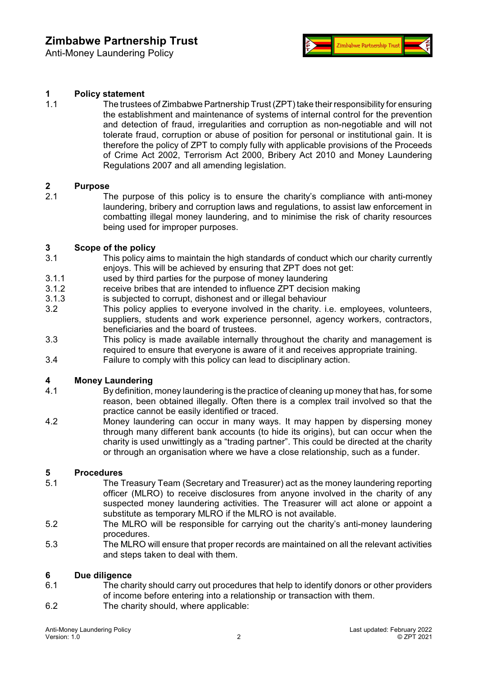Anti-Money Laundering Policy



### <span id="page-1-0"></span>**1 Policy statement**

1.1 The trustees of Zimbabwe Partnership Trust (ZPT)take theirresponsibility for ensuring the establishment and maintenance of systems of internal control for the prevention and detection of fraud, irregularities and corruption as non-negotiable and will not tolerate fraud, corruption or abuse of position for personal or institutional gain. It is therefore the policy of ZPT to comply fully with applicable provisions of the Proceeds of Crime Act 2002, Terrorism Act 2000, Bribery Act 2010 and Money Laundering Regulations 2007 and all amending legislation.

#### <span id="page-1-1"></span>**2 Purpose**

2.1 The purpose of this policy is to ensure the charity's compliance with anti-money laundering, bribery and corruption laws and regulations, to assist law enforcement in combatting illegal money laundering, and to minimise the risk of charity resources being used for improper purposes.

#### <span id="page-1-2"></span>**3 Scope of the policy**

- 3.1 This policy aims to maintain the high standards of conduct which our charity currently enjoys. This will be achieved by ensuring that ZPT does not get:
- 3.1.1 used by third parties for the purpose of money laundering
- 3.1.2 receive bribes that are intended to influence ZPT decision making
- 3.1.3 is subjected to corrupt, dishonest and or illegal behaviour
- 3.2 This policy applies to everyone involved in the charity. i.e. employees, volunteers, suppliers, students and work experience personnel, agency workers, contractors, beneficiaries and the board of trustees.
- 3.3 This policy is made available internally throughout the charity and management is required to ensure that everyone is aware of it and receives appropriate training.
- 3.4 Failure to comply with this policy can lead to disciplinary action.

### <span id="page-1-3"></span>**4 Money Laundering**

- 4.1 By definition, money laundering is the practice of cleaning up money that has, for some reason, been obtained illegally. Often there is a complex trail involved so that the practice cannot be easily identified or traced.
- 4.2 Money laundering can occur in many ways. It may happen by dispersing money through many different bank accounts (to hide its origins), but can occur when the charity is used unwittingly as a "trading partner". This could be directed at the charity or through an organisation where we have a close relationship, such as a funder.

## <span id="page-1-4"></span>**5 Procedures**

- The Treasury Team (Secretary and Treasurer) act as the money laundering reporting officer (MLRO) to receive disclosures from anyone involved in the charity of any suspected money laundering activities. The Treasurer will act alone or appoint a substitute as temporary MLRO if the MLRO is not available.
- 5.2 The MLRO will be responsible for carrying out the charity's anti-money laundering procedures.
- 5.3 The MLRO will ensure that proper records are maintained on all the relevant activities and steps taken to deal with them.

## <span id="page-1-5"></span>**6 Due diligence**

- The charity should carry out procedures that help to identify donors or other providers of income before entering into a relationship or transaction with them.
- 6.2 The charity should, where applicable: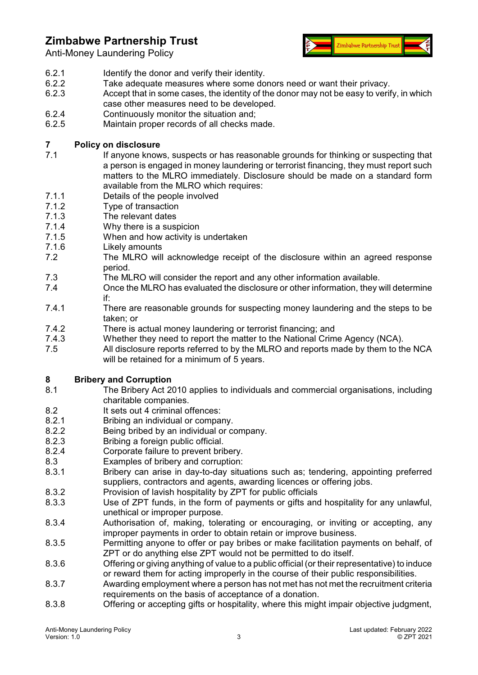Anti-Money Laundering Policy



- 6.2.1 Identify the donor and verify their identity.
- 6.2.2 Take adequate measures where some donors need or want their privacy.<br>6.2.3 Accept that in some cases the identity of the donor may not be easy to verif
- Accept that in some cases, the identity of the donor may not be easy to verify, in which case other measures need to be developed.
- 6.2.4 Continuously monitor the situation and;
- 6.2.5 Maintain proper records of all checks made.

## <span id="page-2-0"></span>**7 Policy on disclosure**

- If anyone knows, suspects or has reasonable grounds for thinking or suspecting that a person is engaged in money laundering or terrorist financing, they must report such matters to the MLRO immediately. Disclosure should be made on a standard form available from the MLRO which requires:
- 7.1.1 Details of the people involved<br>7.1.2 Type of transaction
- Type of transaction
- 7.1.3 The relevant dates
- 7.1.4 Why there is a suspicion
- 7.1.5 When and how activity is undertaken
- 7.1.6 Likely amounts
- 7.2 The MLRO will acknowledge receipt of the disclosure within an agreed response period.
- 7.3 The MLRO will consider the report and any other information available.
- 7.4 Once the MLRO has evaluated the disclosure or other information, they will determine if:
- 7.4.1 There are reasonable grounds for suspecting money laundering and the steps to be taken; or
- 7.4.2 There is actual money laundering or terrorist financing; and<br>7.4.3 Whether they need to report the matter to the National Crim
- Whether they need to report the matter to the National Crime Agency (NCA).
- 7.5 All disclosure reports referred to by the MLRO and reports made by them to the NCA will be retained for a minimum of 5 years.

# <span id="page-2-1"></span>**8 Bribery and Corruption**

- The Bribery Act 2010 applies to individuals and commercial organisations, including charitable companies.
- 8.2 It sets out 4 criminal offences:
- 8.2.1 Bribing an individual or company.
- 8.2.2 Being bribed by an individual or company.
- 8.2.3 Bribing a foreign public official.<br>8.2.4 Corporate failure to prevent bril
- Corporate failure to prevent bribery.
- 8.3 Examples of bribery and corruption:<br>8.3.1 Bribery can arise in day-to-day situ
- Bribery can arise in day-to-day situations such as; tendering, appointing preferred suppliers, contractors and agents, awarding licences or offering jobs.
- 8.3.2 Provision of lavish hospitality by ZPT for public officials
- 8.3.3 Use of ZPT funds, in the form of payments or gifts and hospitality for any unlawful, unethical or improper purpose.
- 8.3.4 Authorisation of, making, tolerating or encouraging, or inviting or accepting, any improper payments in order to obtain retain or improve business.
- 8.3.5 Permitting anyone to offer or pay bribes or make facilitation payments on behalf, of ZPT or do anything else ZPT would not be permitted to do itself.
- 8.3.6 Offering or giving anything of value to a public official (or their representative) to induce or reward them for acting improperly in the course of their public responsibilities.
- 8.3.7 Awarding employment where a person has not met has not met the recruitment criteria requirements on the basis of acceptance of a donation.
- 8.3.8 Offering or accepting gifts or hospitality, where this might impair objective judgment,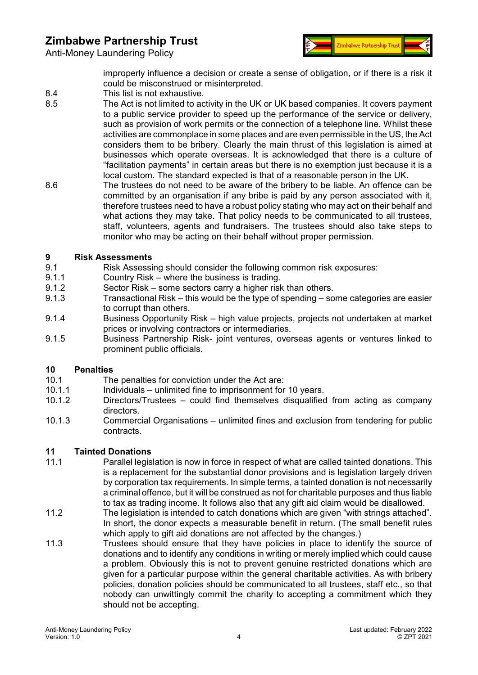



improperly influence a decision or create a sense of obligation, or if there is a risk it could be misconstrued or misinterpreted.

- 8.4 This list is not exhaustive.
- 8.5 The Act is not limited to activity in the UK or UK based companies. It covers payment to a public service provider to speed up the performance of the service or delivery, such as provision of work permits or the connection of a telephone line. Whilst these activities are commonplace in some places and are even permissible in the US, the Act considers them to be bribery. Clearly the main thrust of this legislation is aimed at businesses which operate overseas. It is acknowledged that there is a culture of "facilitation payments" in certain areas but there is no exemption just because it is a local custom. The standard expected is that of a reasonable person in the UK.
- 8.6 The trustees do not need to be aware of the bribery to be liable. An offence can be committed by an organisation if any bribe is paid by any person associated with it, therefore trustees need to have a robust policy stating who may act on their behalf and what actions they may take. That policy needs to be communicated to all trustees, staff, volunteers, agents and fundraisers. The trustees should also take steps to monitor who may be acting on their behalf without proper permission.

## <span id="page-3-0"></span>**9 Risk Assessments**

- Risk Assessing should consider the following common risk exposures:
- 9.1.1 Country Risk where the business is trading.
- 9.1.2 Sector Risk some sectors carry a higher risk than others.
- 9.1.3 Transactional Risk this would be the type of spending some categories are easier to corrupt than others.
- 9.1.4 Business Opportunity Risk high value projects, projects not undertaken at market prices or involving contractors or intermediaries.
- 9.1.5 Business Partnership Risk- joint ventures, overseas agents or ventures linked to prominent public officials.

### <span id="page-3-1"></span>**10 Penalties**

- 10.1 The penalties for conviction under the Act are:<br>10.1.1 Individuals unlimited fine to imprisonment for
- 10.1.1 Individuals unlimited fine to imprisonment for 10 years.<br>10.1.2 Directors/Trustees could find themselves disqualified
- Directors/Trustees could find themselves disqualified from acting as company directors.
- 10.1.3 Commercial Organisations unlimited fines and exclusion from tendering for public contracts.

### <span id="page-3-2"></span>**11 Tainted Donations**

- 11.1 Parallel legislation is now in force in respect of what are called tainted donations. This is a replacement for the substantial donor provisions and is legislation largely driven by corporation tax requirements. In simple terms, a tainted donation is not necessarily a criminal offence, but it will be construed as not for charitable purposes and thus liable to tax as trading income. It follows also that any gift aid claim would be disallowed.
- 11.2 The legislation is intended to catch donations which are given "with strings attached". In short, the donor expects a measurable benefit in return. (The small benefit rules which apply to gift aid donations are not affected by the changes.)
- 11.3 Trustees should ensure that they have policies in place to identify the source of donations and to identify any conditions in writing or merely implied which could cause a problem. Obviously this is not to prevent genuine restricted donations which are given for a particular purpose within the general charitable activities. As with bribery policies, donation policies should be communicated to all trustees, staff etc., so that nobody can unwittingly commit the charity to accepting a commitment which they should not be accepting.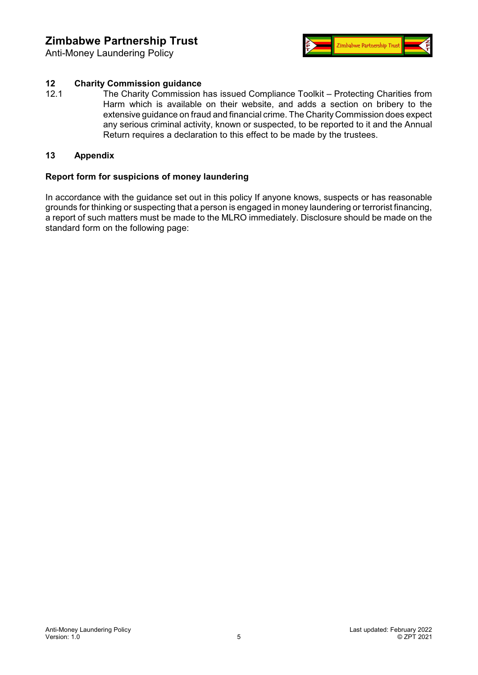Anti-Money Laundering Policy



# <span id="page-4-0"></span>**12 Charity Commission guidance**

The Charity Commission has issued Compliance Toolkit – Protecting Charities from Harm which is available on their website, and adds a section on bribery to the extensive guidance on fraud and financial crime. The Charity Commission does expect any serious criminal activity, known or suspected, to be reported to it and the Annual Return requires a declaration to this effect to be made by the trustees.

#### <span id="page-4-1"></span>**13 Appendix**

### **Report form for suspicions of money laundering**

In accordance with the guidance set out in this policy If anyone knows, suspects or has reasonable grounds for thinking or suspecting that a person is engaged in money laundering or terrorist financing, a report of such matters must be made to the MLRO immediately. Disclosure should be made on the standard form on the following page: